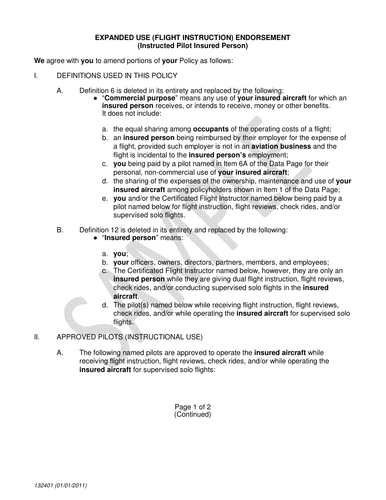## **EXPANDED USE (FLIGHT INSTRUCTION) ENDORSEMENT (Instructed Pilot Insured Person)**

**We** agree with **you** to amend portions of **your** Policy as follows:

- I. DEFINITIONS USED IN THIS POLICY
	- A. Definition 6 is deleted in its entirety and replaced by the following:
		- "**Commercial purpose**" means any use of **your insured aircraft** for which an **insured person** receives, or intends to receive, money or other benefits. It does not include:
			- a. the equal sharing among **occupants** of the operating costs of a flight;
			- b. an **insured person** being reimbursed by their employer for the expense of a flight, provided such employer is not in an **aviation business** and the flight is incidental to the **insured person's** employment;
			- c. **you** being paid by a pilot named in Item 6A of the Data Page for their personal, non-commercial use of **your insured aircraft**;
			- d. the sharing of the expenses of the ownership, maintenance and use of **your insured aircraft** among policyholders shown in Item 1 of the Data Page;
			- e. **you** and/or the Certificated Flight Instructor named below being paid by a pilot named below for flight instruction, flight reviews, check rides, and/or supervised solo flights.
	- B. Definition 12 is deleted in its entirety and replaced by the following:
		- "**Insured person**" means:
			- a. **you**;
			- b. **your** officers, owners, directors, partners, members, and employees;
			- c. The Certificated Flight Instructor named below, however, they are only an **insured person** while they are giving dual flight instruction, flight reviews, check rides, and/or conducting supervised solo flights in the **insured aircraft**.
			- d. The pilot(s) named below while receiving flight instruction, flight reviews, check rides, and/or while operating the **insured aircraft** for supervised solo flights.
- II. APPROVED PILOTS (INSTRUCTIONAL USE)
	- A. The following named pilots are approved to operate the **insured aircraft** while receiving flight instruction, flight reviews, check rides, and/or while operating the **insured aircraft** for supervised solo flights:

Page 1 of 2 (Continued)